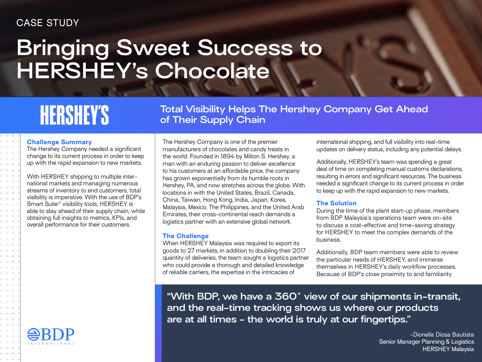### CASE STUDY

## **Bringing Sweet Success to HERSHEY's Chocolate**

# **HERSHEY'S**

**Total Visibility Helps The Hershey Company Get Ahead of Their Supply Chain**

#### **Challenge Summary**

The Hershey Company needed a significant change to its current process in order to keep up with the rapid expansion to new markets.

With HERSHEY shipping to multiple international markets and managing numerous streams of inventory to end customers, total visibility is imperative. With the use of BDP's Smart Suite® visibility tools, HERSHEY is able to stay ahead of their supply chain, while obtaining full insights to metrics, KPIs, and overall performance for their customers.

The Hershey Company is one of the premier manufacturers of chocolates and candy treats in the world. Founded in 1894 by Milton S. Hershey, a man with an enduring passion to deliver excellence to his customers at an affordable price, the company has grown exponentially from its humble roots in Hershey, PA, and now stretches across the globe. With locations in with the United States, Brazil, Canada, China, Taiwan, Hong Kong, India, Japan, Korea, Malaysia, Mexico, The Philippines, and the United Arab Emirates, their cross-continental reach demands a logistics partner with an extensive global network.

#### **The Challenge**

When HERSHEY Malaysia was required to export its goods to 27 markets, in addition to doubling their 2017 quantity of deliveries, the team sought a logistics partner who could provide a thorough and detailed knowledge of reliable carriers, the expertise in the intricacies of

international shipping, and full visibility into real-time updates on delivery status, including any potential delays.

Additionally, HERSHEY's team was spending a great deal of time on completing manual customs declarations, resulting in errors and significant resources. The business needed a significant change to its current process in order to keep up with the rapid expansion to new markets.

#### **The Solution**

During the time of the plant start-up phase, members from BDP Malaysia's operations team were on-site to discuss a cost-effective and time-saving strategy for HERSHEY to meet the complex demands of the business.

Additionally, BDP team members were able to review the particular needs of HERSHEY, and immerse themselves in HERSHEY's daily workflow processes. Because of BDP's close proximity to and familiarity

**"With BDP, we have a 360° view of our shipments in-transit, and the real-time tracking shows us where our products are at all times - the world is truly at our fingertips."**

> -Dionella Diosa Bautista Senior Manager Planning & Logistics HERSHEY Malaysia